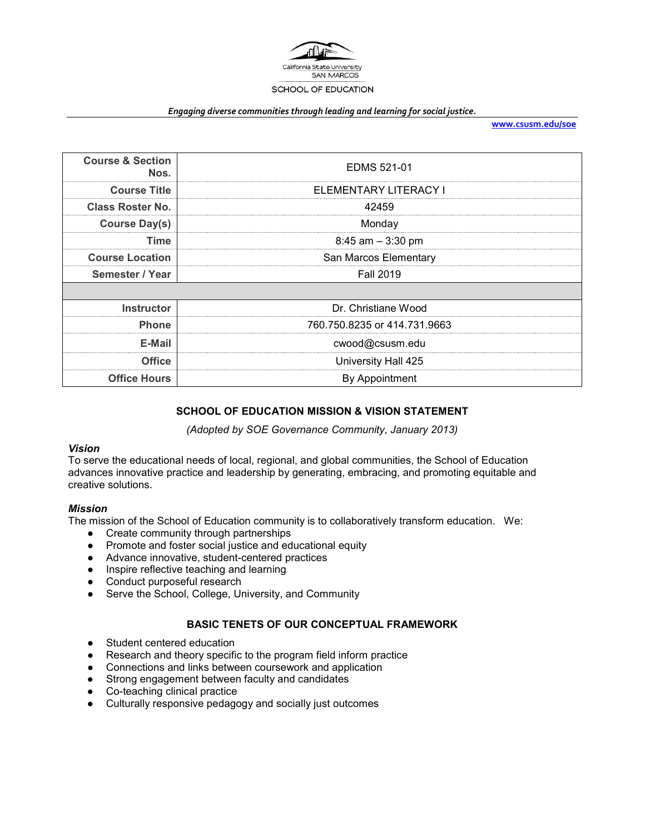

#### *Engaging diverse communities through leading and learning for social justice.*

**[www.csusm.edu/soe](http://www.csusm.edu/soe)**

| <b>Course &amp; Section</b><br>Nos. | EDMS 521-01                  |
|-------------------------------------|------------------------------|
| <b>Course Title</b>                 | ELEMENTARY LITERACY I        |
| <b>Class Roster No.</b>             | 42459                        |
| <b>Course Day(s)</b>                | Monday                       |
| <b>Time</b>                         | $8:45$ am $-3:30$ pm         |
| <b>Course Location</b>              | San Marcos Elementary        |
| Semester / Year                     | <b>Fall 2019</b>             |
|                                     |                              |
| <b>Instructor</b>                   | Dr. Christiane Wood          |
| <b>Phone</b>                        | 760.750.8235 or 414.731.9663 |
| E-Mail                              | cwood@csusm.edu              |
| <b>Office</b>                       | University Hall 425          |
| <b>Office Hours</b>                 | By Appointment               |

#### **SCHOOL OF EDUCATION MISSION & VISION STATEMENT**

*(Adopted by SOE Governance Community, January 2013)*

#### *Vision*

To serve the educational needs of local, regional, and global communities, the School of Education advances innovative practice and leadership by generating, embracing, and promoting equitable and creative solutions.

#### *Mission*

The mission of the School of Education community is to collaboratively transform education. We:

- Create community through partnerships
- Promote and foster social justice and educational equity
- Advance innovative, student-centered practices
- Inspire reflective teaching and learning
- Conduct purposeful research
- Serve the School, College, University, and Community

#### **BASIC TENETS OF OUR CONCEPTUAL FRAMEWORK**

- Student centered education
- Research and theory specific to the program field inform practice
- Connections and links between coursework and application
- Strong engagement between faculty and candidates
- Co-teaching clinical practice
- Culturally responsive pedagogy and socially just outcomes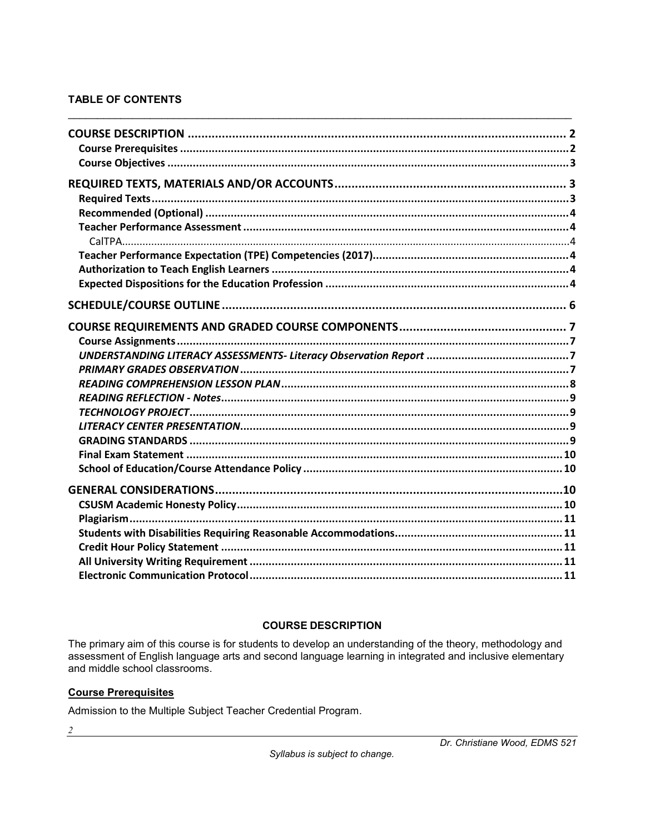# **TABLE OF CONTENTS**

# **COURSE DESCRIPTION**

<span id="page-1-0"></span>The primary aim of this course is for students to develop an understanding of the theory, methodology and<br>assessment of English language arts and second language learning in integrated and inclusive elementary and middle school classrooms.

## <span id="page-1-1"></span>**Course Prerequisites**

Admission to the Multiple Subject Teacher Credential Program.

 $\overline{2}$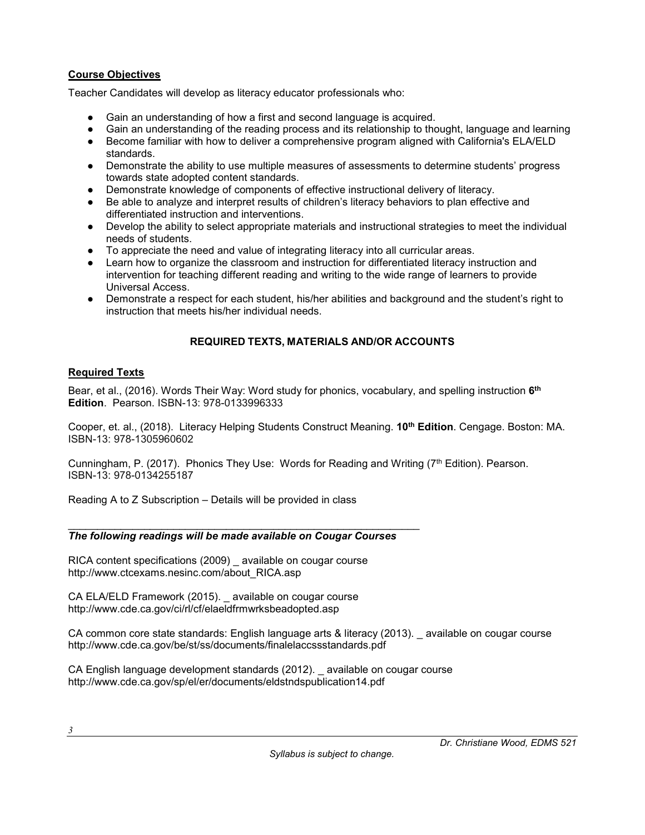### <span id="page-2-0"></span>**Course Objectives**

Teacher Candidates will develop as literacy educator professionals who:

- Gain an understanding of how a first and second language is acquired.
- Gain an understanding of the reading process and its relationship to thought, language and learning
- Become familiar with how to deliver a comprehensive program aligned with California's ELA/ELD standards.
- Demonstrate the ability to use multiple measures of assessments to determine students' progress towards state adopted content standards.
- Demonstrate knowledge of components of effective instructional delivery of literacy.
- Be able to analyze and interpret results of children's literacy behaviors to plan effective and differentiated instruction and interventions.
- Develop the ability to select appropriate materials and instructional strategies to meet the individual needs of students.
- To appreciate the need and value of integrating literacy into all curricular areas.
- Learn how to organize the classroom and instruction for differentiated literacy instruction and intervention for teaching different reading and writing to the wide range of learners to provide Universal Access.
- Demonstrate a respect for each student, his/her abilities and background and the student's right to instruction that meets his/her individual needs.

# **REQUIRED TEXTS, MATERIALS AND/OR ACCOUNTS**

## <span id="page-2-2"></span><span id="page-2-1"></span>**Required Texts**

Bear, et al., (2016). Words Their Way: Word study for phonics, vocabulary, and spelling instruction **6th Edition**. Pearson. ISBN-13: 978-0133996333

Cooper, et. al., (2018). Literacy Helping Students Construct Meaning. **10th Edition**. Cengage. Boston: MA. ISBN-13: 978-1305960602

Cunningham, P. (2017). Phonics They Use: Words for Reading and Writing (7<sup>th</sup> Edition). Pearson. ISBN-13: 978-0134255187

Reading A to Z Subscription – Details will be provided in class

#### \_\_\_\_\_\_\_\_\_\_\_\_\_\_\_\_\_\_\_\_\_\_\_\_\_\_\_\_\_\_\_\_\_\_\_\_\_\_\_\_\_\_\_\_\_\_\_\_\_\_\_\_\_\_\_\_\_\_\_\_ *The following readings will be made available on Cougar Courses*

RICA content specifications (2009) \_ available on cougar course http://www.ctcexams.nesinc.com/about\_RICA.asp

CA ELA/ELD Framework (2015). \_ available on cougar course http://www.cde.ca.gov/ci/rl/cf/elaeldfrmwrksbeadopted.asp

CA common core state standards: English language arts & literacy (2013). \_ available on cougar course http://www.cde.ca.gov/be/st/ss/documents/finalelaccssstandards.pdf

CA English language development standards (2012). \_ available on cougar course http://www.cde.ca.gov/sp/el/er/documents/eldstndspublication14.pdf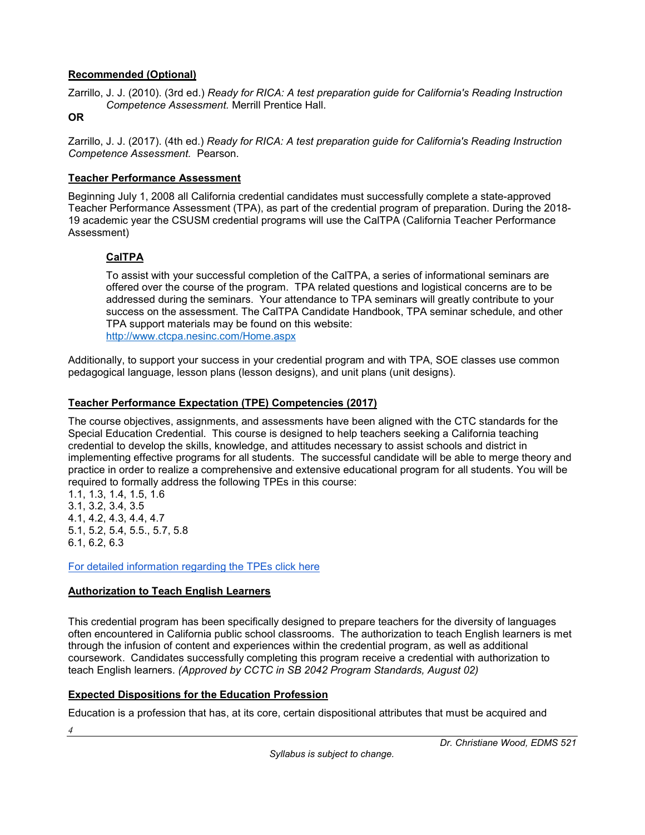## <span id="page-3-0"></span>**Recommended (Optional)**

Zarrillo, J. J. (2010). (3rd ed.) *Ready for RICA: A test preparation guide for California's Reading Instruction Competence Assessment.* Merrill Prentice Hall.

#### **OR**

Zarrillo, J. J. (2017). (4th ed.) *Ready for RICA: A test preparation guide for California's Reading Instruction Competence Assessment.* Pearson.

#### <span id="page-3-1"></span>**Teacher Performance Assessment**

Beginning July 1, 2008 all California credential candidates must successfully complete a state-approved Teacher Performance Assessment (TPA), as part of the credential program of preparation. During the 2018- 19 academic year the CSUSM credential programs will use the CalTPA (California Teacher Performance Assessment)

# <span id="page-3-2"></span>**CalTPA**

To assist with your successful completion of the CalTPA, a series of informational seminars are offered over the course of the program. TPA related questions and logistical concerns are to be addressed during the seminars. Your attendance to TPA seminars will greatly contribute to your success on the assessment. The CalTPA Candidate Handbook, TPA seminar schedule, and other TPA support materials may be found on this website: <http://www.ctcpa.nesinc.com/Home.aspx>

Additionally, to support your success in your credential program and with TPA, SOE classes use common pedagogical language, lesson plans (lesson designs), and unit plans (unit designs).

# <span id="page-3-3"></span>**Teacher Performance Expectation (TPE) Competencies (2017)**

The course objectives, assignments, and assessments have been aligned with the CTC standards for the Special Education Credential. This course is designed to help teachers seeking a California teaching credential to develop the skills, knowledge, and attitudes necessary to assist schools and district in implementing effective programs for all students. The successful candidate will be able to merge theory and practice in order to realize a comprehensive and extensive educational program for all students. You will be required to formally address the following TPEs in this course:

1.1, 1.3, 1.4, 1.5, 1.6 3.1, 3.2, 3.4, 3.5 4.1, 4.2, 4.3, 4.4, 4.7 5.1, 5.2, 5.4, 5.5., 5.7, 5.8 6.1, 6.2, 6.3

*4*

[For detailed information regarding the TPEs click here](https://www.ctc.ca.gov/docs/default-source/educator-prep/standards/adopted-tpes-2016.pdf)

## <span id="page-3-4"></span>**Authorization to Teach English Learners**

This credential program has been specifically designed to prepare teachers for the diversity of languages often encountered in California public school classrooms. The authorization to teach English learners is met through the infusion of content and experiences within the credential program, as well as additional coursework. Candidates successfully completing this program receive a credential with authorization to teach English learners. *(Approved by CCTC in SB 2042 Program Standards, August 02)*

## <span id="page-3-5"></span>**Expected Dispositions for the Education Profession**

Education is a profession that has, at its core, certain dispositional attributes that must be acquired and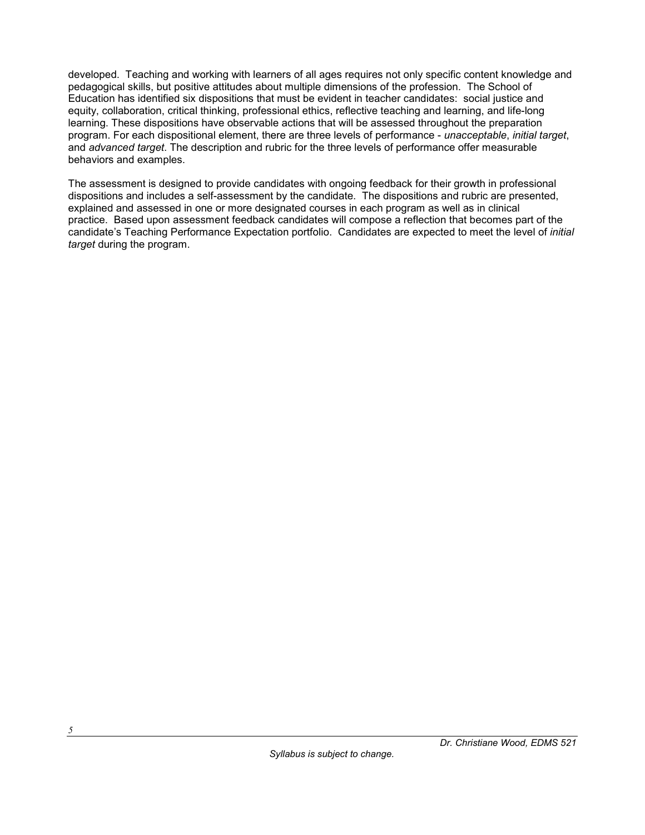developed. Teaching and working with learners of all ages requires not only specific content knowledge and pedagogical skills, but positive attitudes about multiple dimensions of the profession. The School of Education has identified six dispositions that must be evident in teacher candidates: social justice and equity, collaboration, critical thinking, professional ethics, reflective teaching and learning, and life-long learning. These dispositions have observable actions that will be assessed throughout the preparation program. For each dispositional element, there are three levels of performance - *unacceptable*, *initial target*, and *advanced target*. The description and rubric for the three levels of performance offer measurable behaviors and examples.

The assessment is designed to provide candidates with ongoing feedback for their growth in professional dispositions and includes a self-assessment by the candidate. The dispositions and rubric are presented, explained and assessed in one or more designated courses in each program as well as in clinical practice. Based upon assessment feedback candidates will compose a reflection that becomes part of the candidate's Teaching Performance Expectation portfolio. Candidates are expected to meet the level of *initial target* during the program.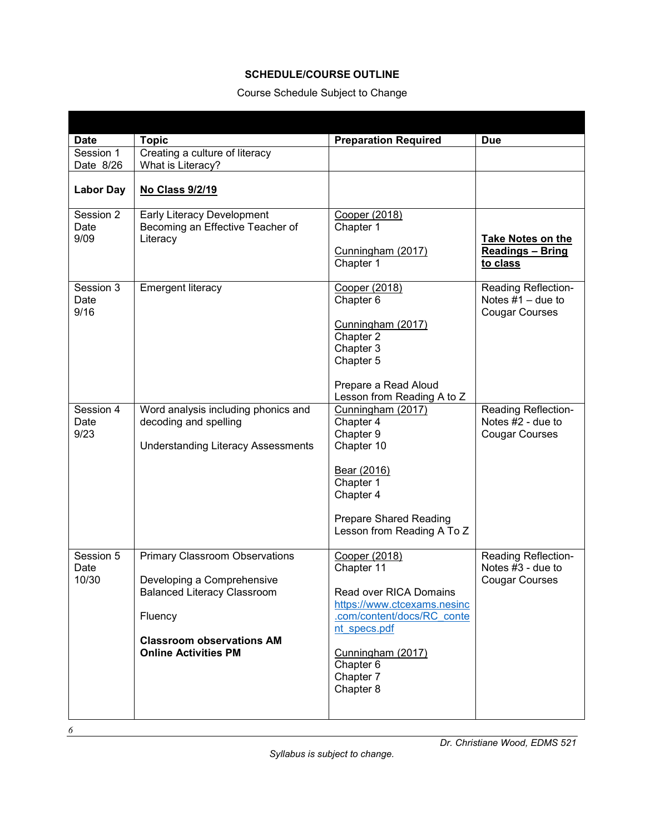## **SCHEDULE/COURSE OUTLINE**

# Course Schedule Subject to Change

<span id="page-5-0"></span>

| <b>Date</b>                | <b>Topic</b>                                                                                                                                                                            | <b>Preparation Required</b>                                                                                                                                                                    | <b>Due</b>                                                               |
|----------------------------|-----------------------------------------------------------------------------------------------------------------------------------------------------------------------------------------|------------------------------------------------------------------------------------------------------------------------------------------------------------------------------------------------|--------------------------------------------------------------------------|
| Session 1                  | Creating a culture of literacy                                                                                                                                                          |                                                                                                                                                                                                |                                                                          |
| Date 8/26                  | What is Literacy?                                                                                                                                                                       |                                                                                                                                                                                                |                                                                          |
| <b>Labor Day</b>           | No Class 9/2/19                                                                                                                                                                         |                                                                                                                                                                                                |                                                                          |
| Session 2<br>Date<br>9/09  | Early Literacy Development<br>Becoming an Effective Teacher of<br>Literacy                                                                                                              | Cooper (2018)<br>Chapter 1<br>Cunningham (2017)<br>Chapter 1                                                                                                                                   | <b>Take Notes on the</b><br><b>Readings - Bring</b><br>to class          |
| Session 3<br>Date<br>9/16  | Emergent literacy                                                                                                                                                                       | Cooper (2018)<br>Chapter 6<br>Cunningham (2017)<br>Chapter 2<br>Chapter 3<br>Chapter 5<br>Prepare a Read Aloud<br>Lesson from Reading A to Z                                                   | Reading Reflection-<br>Notes $#1 -$ due to<br><b>Cougar Courses</b>      |
| Session 4<br>Date<br>9/23  | Word analysis including phonics and<br>decoding and spelling<br><b>Understanding Literacy Assessments</b>                                                                               | Cunningham (2017)<br>Chapter 4<br>Chapter 9<br>Chapter 10<br>Bear (2016)<br>Chapter 1<br>Chapter 4<br><b>Prepare Shared Reading</b><br>Lesson from Reading A To Z                              | <b>Reading Reflection-</b><br>Notes #2 - due to<br><b>Cougar Courses</b> |
| Session 5<br>Date<br>10/30 | <b>Primary Classroom Observations</b><br>Developing a Comprehensive<br><b>Balanced Literacy Classroom</b><br>Fluency<br><b>Classroom observations AM</b><br><b>Online Activities PM</b> | Cooper (2018)<br>Chapter 11<br>Read over RICA Domains<br>https://www.ctcexams.nesinc<br>.com/content/docs/RC conte<br>nt specs.pdf<br>Cunningham (2017)<br>Chapter 6<br>Chapter 7<br>Chapter 8 | <b>Reading Reflection-</b><br>Notes #3 - due to<br><b>Cougar Courses</b> |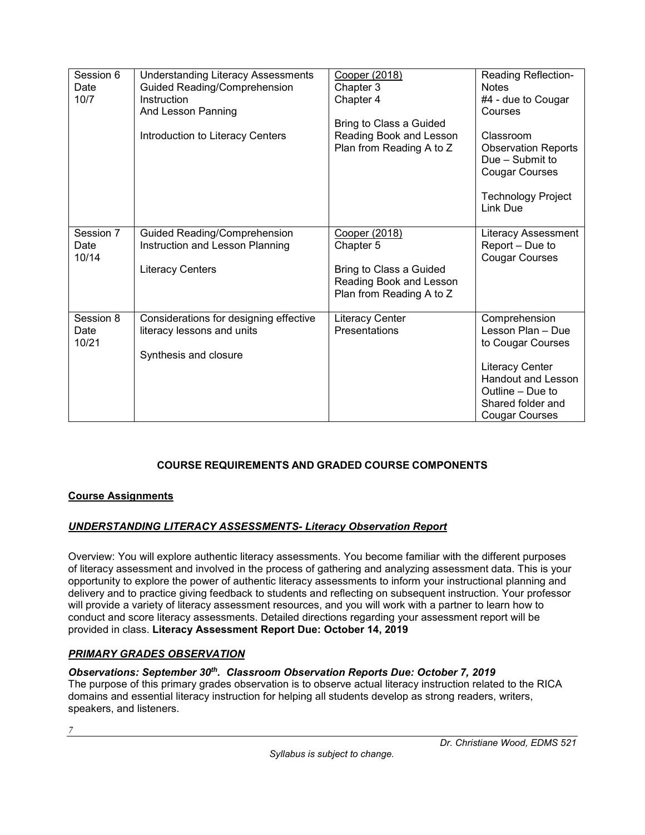| Session 6<br>Date<br>10/7  | <b>Understanding Literacy Assessments</b><br>Guided Reading/Comprehension<br>Instruction<br>And Lesson Panning<br>Introduction to Literacy Centers | Cooper (2018)<br>Chapter 3<br>Chapter 4<br>Bring to Class a Guided<br>Reading Book and Lesson<br>Plan from Reading A to Z | <b>Reading Reflection-</b><br><b>Notes</b><br>#4 - due to Cougar<br>Courses<br>Classroom<br><b>Observation Reports</b><br>Due - Submit to<br><b>Cougar Courses</b><br><b>Technology Project</b><br>Link Due |
|----------------------------|----------------------------------------------------------------------------------------------------------------------------------------------------|---------------------------------------------------------------------------------------------------------------------------|-------------------------------------------------------------------------------------------------------------------------------------------------------------------------------------------------------------|
| Session 7<br>Date<br>10/14 | Guided Reading/Comprehension<br>Instruction and Lesson Planning<br><b>Literacy Centers</b>                                                         | Cooper (2018)<br>Chapter 5<br>Bring to Class a Guided<br>Reading Book and Lesson<br>Plan from Reading A to Z              | Literacy Assessment<br>Report - Due to<br><b>Cougar Courses</b>                                                                                                                                             |
| Session 8<br>Date<br>10/21 | Considerations for designing effective<br>literacy lessons and units<br>Synthesis and closure                                                      | Literacy Center<br>Presentations                                                                                          | Comprehension<br>Lesson Plan - Due<br>to Cougar Courses<br>Literacy Center<br><b>Handout and Lesson</b><br>Outline – Due to<br>Shared folder and<br><b>Cougar Courses</b>                                   |

# **COURSE REQUIREMENTS AND GRADED COURSE COMPONENTS**

## <span id="page-6-1"></span><span id="page-6-0"></span>**Course Assignments**

## <span id="page-6-2"></span>*UNDERSTANDING LITERACY ASSESSMENTS- Literacy Observation Report*

Overview: You will explore authentic literacy assessments. You become familiar with the different purposes of literacy assessment and involved in the process of gathering and analyzing assessment data. This is your opportunity to explore the power of authentic literacy assessments to inform your instructional planning and delivery and to practice giving feedback to students and reflecting on subsequent instruction. Your professor will provide a variety of literacy assessment resources, and you will work with a partner to learn how to conduct and score literacy assessments. Detailed directions regarding your assessment report will be provided in class. **Literacy Assessment Report Due: October 14, 2019**

## <span id="page-6-3"></span>*PRIMARY GRADES OBSERVATION*

## *Observations: September 30th. Classroom Observation Reports Due: October 7, 2019*

The purpose of this primary grades observation is to observe actual literacy instruction related to the RICA domains and essential literacy instruction for helping all students develop as strong readers, writers, speakers, and listeners.

*7*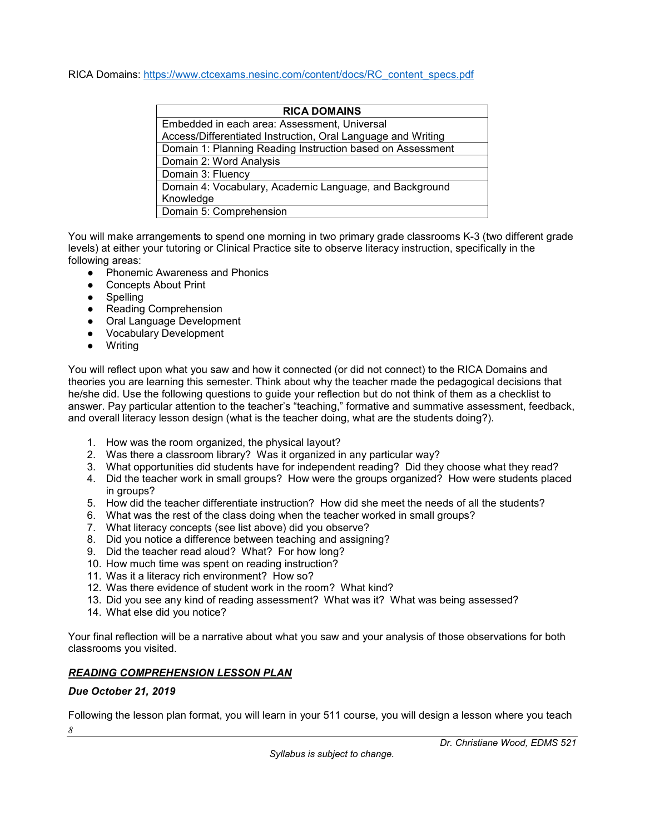RICA Domains: [https://www.ctcexams.nesinc.com/content/docs/RC\\_content\\_specs.pdf](https://www.ctcexams.nesinc.com/content/docs/RC_content_specs.pdf)

| <b>RICA DOMAINS</b>                                          |  |  |
|--------------------------------------------------------------|--|--|
| Embedded in each area: Assessment, Universal                 |  |  |
| Access/Differentiated Instruction, Oral Language and Writing |  |  |
| Domain 1: Planning Reading Instruction based on Assessment   |  |  |
| Domain 2: Word Analysis                                      |  |  |
| Domain 3: Fluency                                            |  |  |
| Domain 4: Vocabulary, Academic Language, and Background      |  |  |
| Knowledge                                                    |  |  |
| Domain 5: Comprehension                                      |  |  |

You will make arrangements to spend one morning in two primary grade classrooms K-3 (two different grade levels) at either your tutoring or Clinical Practice site to observe literacy instruction, specifically in the following areas:

- Phonemic Awareness and Phonics
- Concepts About Print
- Spelling
- Reading Comprehension
- Oral Language Development
- Vocabulary Development
- Writing

You will reflect upon what you saw and how it connected (or did not connect) to the RICA Domains and theories you are learning this semester. Think about why the teacher made the pedagogical decisions that he/she did. Use the following questions to guide your reflection but do not think of them as a checklist to answer. Pay particular attention to the teacher's "teaching," formative and summative assessment, feedback, and overall literacy lesson design (what is the teacher doing, what are the students doing?).

- 1. How was the room organized, the physical layout?
- 2. Was there a classroom library? Was it organized in any particular way?
- 3. What opportunities did students have for independent reading? Did they choose what they read?
- 4. Did the teacher work in small groups? How were the groups organized? How were students placed in groups?
- 5. How did the teacher differentiate instruction? How did she meet the needs of all the students?
- 6. What was the rest of the class doing when the teacher worked in small groups?
- 7. What literacy concepts (see list above) did you observe?
- 8. Did you notice a difference between teaching and assigning?
- 9. Did the teacher read aloud? What? For how long?
- 10. How much time was spent on reading instruction?
- 11. Was it a literacy rich environment? How so?
- 12. Was there evidence of student work in the room? What kind?
- 13. Did you see any kind of reading assessment? What was it? What was being assessed?
- 14. What else did you notice?

Your final reflection will be a narrative about what you saw and your analysis of those observations for both classrooms you visited.

# <span id="page-7-0"></span>*READING COMPREHENSION LESSON PLAN*

#### *Due October 21, 2019*

*8* Following the lesson plan format, you will learn in your 511 course, you will design a lesson where you teach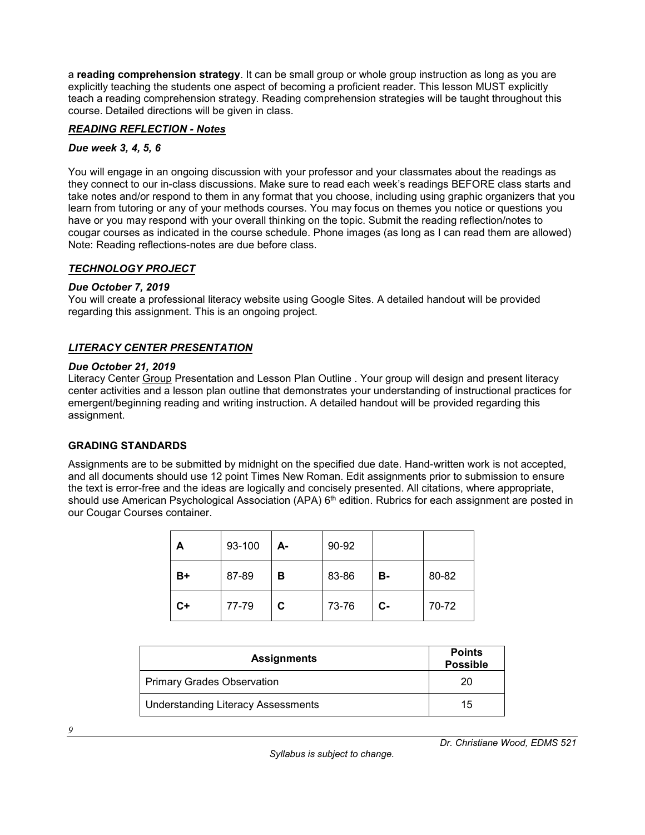a **reading comprehension strategy**. It can be small group or whole group instruction as long as you are explicitly teaching the students one aspect of becoming a proficient reader. This lesson MUST explicitly teach a reading comprehension strategy. Reading comprehension strategies will be taught throughout this course. Detailed directions will be given in class.

#### <span id="page-8-0"></span>*READING REFLECTION - Notes*

#### *Due week 3, 4, 5, 6*

You will engage in an ongoing discussion with your professor and your classmates about the readings as they connect to our in-class discussions. Make sure to read each week's readings BEFORE class starts and take notes and/or respond to them in any format that you choose, including using graphic organizers that you learn from tutoring or any of your methods courses. You may focus on themes you notice or questions you have or you may respond with your overall thinking on the topic. Submit the reading reflection/notes to cougar courses as indicated in the course schedule. Phone images (as long as I can read them are allowed) Note: Reading reflections-notes are due before class.

#### <span id="page-8-1"></span>*TECHNOLOGY PROJECT*

#### *Due October 7, 2019*

You will create a professional literacy website using Google Sites. A detailed handout will be provided regarding this assignment. This is an ongoing project.

#### <span id="page-8-2"></span>*LITERACY CENTER PRESENTATION*

#### *Due October 21, 2019*

Literacy Center Group Presentation and Lesson Plan Outline . Your group will design and present literacy center activities and a lesson plan outline that demonstrates your understanding of instructional practices for emergent/beginning reading and writing instruction. A detailed handout will be provided regarding this assignment.

#### <span id="page-8-3"></span>**GRADING STANDARDS**

Assignments are to be submitted by midnight on the specified due date. Hand-written work is not accepted, and all documents should use 12 point Times New Roman. Edit assignments prior to submission to ensure the text is error-free and the ideas are logically and concisely presented. All citations, where appropriate, should use American Psychological Association (APA) 6<sup>th</sup> edition. Rubrics for each assignment are posted in our Cougar Courses container.

| А  | 93-100 | А- | 90-92 |      |       |
|----|--------|----|-------|------|-------|
| B+ | 87-89  | в  | 83-86 | в.   | 80-82 |
| C+ | 77-79  | C. | 73-76 | $c-$ | 70-72 |

| <b>Assignments</b>                        | <b>Points</b><br><b>Possible</b> |
|-------------------------------------------|----------------------------------|
| <b>Primary Grades Observation</b>         | 20                               |
| <b>Understanding Literacy Assessments</b> | 15                               |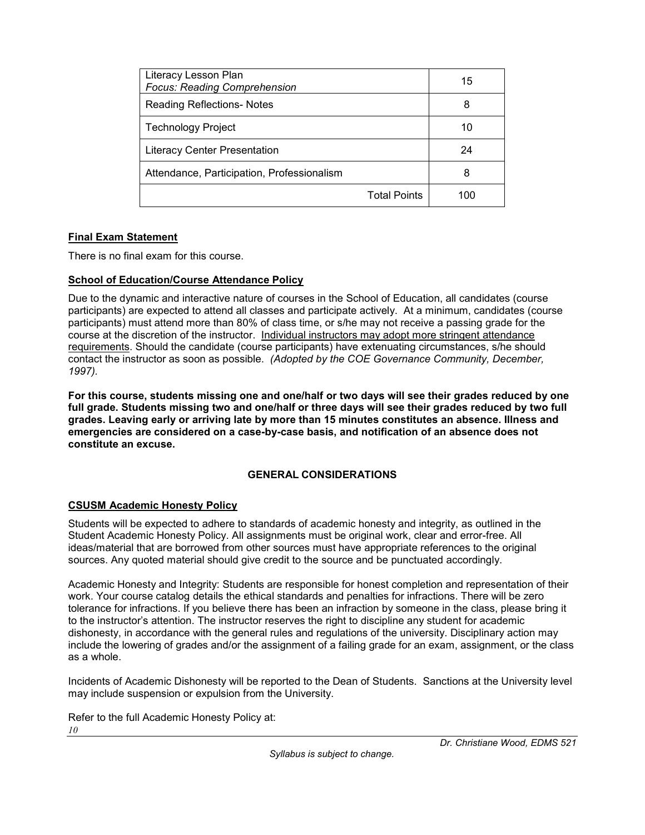| Literacy Lesson Plan<br><b>Focus: Reading Comprehension</b> | 15                  |     |
|-------------------------------------------------------------|---------------------|-----|
| <b>Reading Reflections- Notes</b>                           | 8                   |     |
| <b>Technology Project</b>                                   |                     | 10  |
| <b>Literacy Center Presentation</b>                         |                     | 24  |
| Attendance, Participation, Professionalism                  |                     | 8   |
|                                                             | <b>Total Points</b> | 100 |

## <span id="page-9-0"></span>**Final Exam Statement**

There is no final exam for this course.

### <span id="page-9-1"></span>**School of Education/Course Attendance Policy**

Due to the dynamic and interactive nature of courses in the School of Education, all candidates (course participants) are expected to attend all classes and participate actively. At a minimum, candidates (course participants) must attend more than 80% of class time, or s/he may not receive a passing grade for the course at the discretion of the instructor. Individual instructors may adopt more stringent attendance requirements. Should the candidate (course participants) have extenuating circumstances, s/he should contact the instructor as soon as possible. *(Adopted by the COE Governance Community, December, 1997).*

**For this course, students missing one and one/half or two days will see their grades reduced by one full grade. Students missing two and one/half or three days will see their grades reduced by two full grades. Leaving early or arriving late by more than 15 minutes constitutes an absence. Illness and emergencies are considered on a case-by-case basis, and notification of an absence does not constitute an excuse.**

## **GENERAL CONSIDERATIONS**

#### <span id="page-9-3"></span><span id="page-9-2"></span>**CSUSM Academic Honesty Policy**

Students will be expected to adhere to standards of academic honesty and integrity, as outlined in the Student Academic Honesty Policy. All assignments must be original work, clear and error-free. All ideas/material that are borrowed from other sources must have appropriate references to the original sources. Any quoted material should give credit to the source and be punctuated accordingly.

Academic Honesty and Integrity: Students are responsible for honest completion and representation of their work. Your course catalog details the ethical standards and penalties for infractions. There will be zero tolerance for infractions. If you believe there has been an infraction by someone in the class, please bring it to the instructor's attention. The instructor reserves the right to discipline any student for academic dishonesty, in accordance with the general rules and regulations of the university. Disciplinary action may include the lowering of grades and/or the assignment of a failing grade for an exam, assignment, or the class as a whole.

Incidents of Academic Dishonesty will be reported to the Dean of Students. Sanctions at the University level may include suspension or expulsion from the University.

*10* Refer to the full Academic Honesty Policy at: